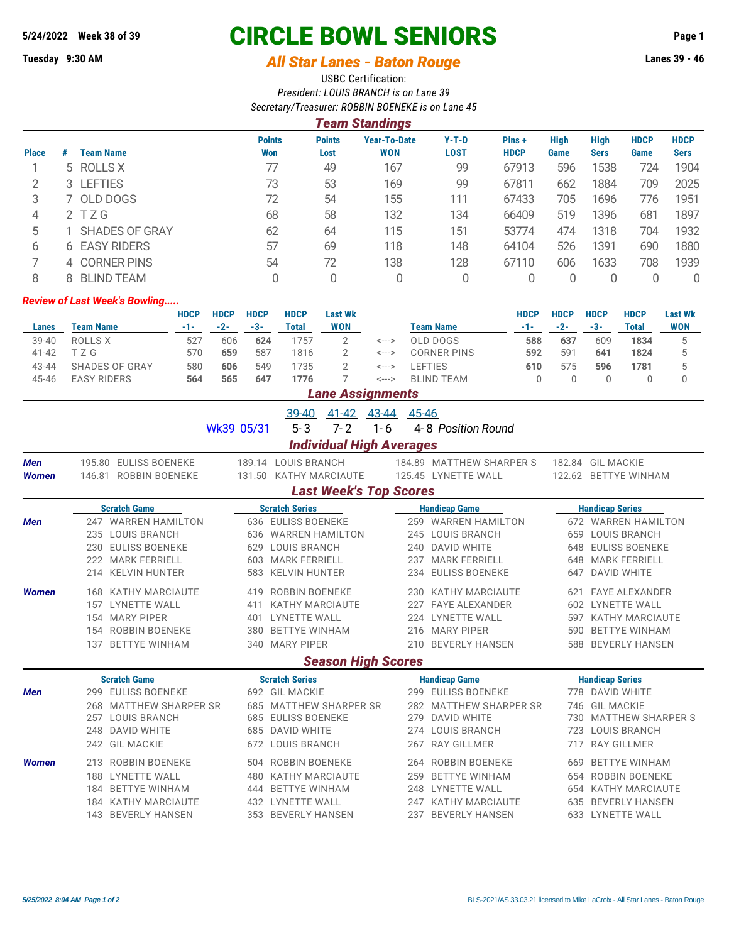## **5/24/2022 Week 38 of 39 CIRCLE BOWL SENIORS Page 1**

## **Tuesday 9:30 AM** *All Star Lanes - Baton Rouge* **Lanes 39 - 46**

USBC Certification: *President: LOUIS BRANCH is on Lane 39 Secretary/Treasurer: ROBBIN BOENEKE is on Lane 45*

|              |     |                       |                      |                       | Team Standings                    |                 |                      |                     |                     |                     |                            |
|--------------|-----|-----------------------|----------------------|-----------------------|-----------------------------------|-----------------|----------------------|---------------------|---------------------|---------------------|----------------------------|
| <b>Place</b> | #   | <b>Team Name</b>      | <b>Points</b><br>Won | <b>Points</b><br>Lost | <b>Year-To-Date</b><br><b>WON</b> | $Y-T-D$<br>LOST | Pins+<br><b>HDCP</b> | <b>High</b><br>Game | High<br><b>Sers</b> | <b>HDCP</b><br>Game | <b>HDCP</b><br><b>Sers</b> |
|              |     | 5 ROLLS X             | 77                   | 49                    | 167                               | 99              | 67913                | 596                 | 1538                | 724                 | 1904                       |
| っ            | 3 I | <b>LEFTIES</b>        | 73                   | 53                    | 169                               | 99              | 67811                | 662                 | 1884                | 709                 | 2025                       |
| 3            |     | 7 OLD DOGS            | 72                   | 54                    | 155                               | 111             | 67433                | 705                 | 1696                | 776                 | 1951                       |
| 4            |     | 2 TZG                 | 68                   | 58                    | 132                               | 134             | 66409                | 519                 | 1396                | 681                 | 1897                       |
| 5            |     | <b>SHADES OF GRAY</b> | 62                   | 64                    | 115                               | 151             | 53774                | 474                 | 1318                | 704                 | 1932                       |
| 6            |     | 6 EASY RIDERS         | 57                   | 69                    | 118                               | 148             | 64104                | 526                 | 1391                | 690                 | 1880                       |
|              |     | 4 CORNER PINS         | 54                   | 72                    | 138                               | 128             | 67110                | 606                 | 1633                | 708                 | 1939                       |
| 8            |     | <b>BLIND TEAM</b>     |                      | 0                     |                                   | 0               |                      |                     |                     |                     | 0                          |

## *Review of Last Week's Bowling.....*

|           |                       | HDCP | <b>HDCP</b> | <b>HDCP</b> | <b>HDCP</b> | Last Wk    |       |             | HDCP | <b>HDCP</b> | <b>HDCP</b> | HDCP  | <b>Last Wk</b> |
|-----------|-----------------------|------|-------------|-------------|-------------|------------|-------|-------------|------|-------------|-------------|-------|----------------|
| Lanes     | Team Name             | -1-  | $-2-$       | $-3-$       | Total       | <b>WON</b> |       | Team Name   | -1-  | $-2-$       | -3-         | Total | <b>WON</b>     |
| $39 - 40$ | ROLLS X               | 527  | 606         | 624         | 1757        |            | <---> | OLD DOGS    | 588  | 637         | 609         | 1834  |                |
| $41 - 42$ | ΤZG                   | 570  | 659         | 587         | 1816        |            | <---> | CORNER PINS | 592  | 591         | 641         | 1824  |                |
| 43-44     | <b>SHADES OF GRAY</b> | 580  | 606         | 549         | 1735        |            | <---> | .EFTIES     | 610  | 575         | 596         | 1781  |                |
| 45-46     | <b>EASY RIDERS</b>    | 564  | 565         | 647         | 1776        |            | <---> | BLIND TEAM  |      |             |             |       |                |

|  | <b>Lane Assignments</b> |  |
|--|-------------------------|--|
|  |                         |  |

|                                 |                            |            | 39-40<br>41-42                | 43-44<br>45-46 |                           |     |                          |  |  |  |  |
|---------------------------------|----------------------------|------------|-------------------------------|----------------|---------------------------|-----|--------------------------|--|--|--|--|
|                                 |                            | Wk39 05/31 | $7 - 2$<br>$5 - 3$            | $1 - 6$        | 4-8 Position Round        |     |                          |  |  |  |  |
| <b>Individual High Averages</b> |                            |            |                               |                |                           |     |                          |  |  |  |  |
| Men                             | 195.80 EULISS BOENEKE      |            | 189.14 LOUIS BRANCH           |                | 184.89 MATTHEW SHARPER S  |     | 182.84 GIL MACKIE        |  |  |  |  |
| <b>Women</b>                    | 146.81 ROBBIN BOENEKE      |            | 131.50 KATHY MARCIAUTE        |                | 125.45 LYNETTE WALL       |     | 122.62 BETTYE WINHAM     |  |  |  |  |
|                                 |                            |            | <b>Last Week's Top Scores</b> |                |                           |     |                          |  |  |  |  |
|                                 | <b>Scratch Game</b>        |            | <b>Scratch Series</b>         |                | <b>Handicap Game</b>      |     | <b>Handicap Series</b>   |  |  |  |  |
| <b>Men</b>                      | 247 WARREN HAMILTON        |            | 636 EULISS BOENEKE            |                | 259 WARREN HAMILTON       |     | 672 WARREN HAMILTON      |  |  |  |  |
|                                 | 235 LOUIS BRANCH           |            | 636 WARREN HAMILTON           |                | 245 LOUIS BRANCH          |     | 659 LOUIS BRANCH         |  |  |  |  |
|                                 | 230 EULISS BOENEKE         | 629        | <b>LOUIS BRANCH</b>           |                | 240 DAVID WHITE           | 648 | <b>EULISS BOENEKE</b>    |  |  |  |  |
|                                 | 222 MARK FERRIELL          | 603        | <b>MARK FERRIELL</b>          | 237            | <b>MARK FERRIELL</b>      | 648 | <b>MARK FERRIELL</b>     |  |  |  |  |
|                                 | 214 KELVIN HUNTER          | 583        | <b>KELVIN HUNTER</b>          | 234            | <b>EULISS BOENEKE</b>     | 647 | <b>DAVID WHITE</b>       |  |  |  |  |
| <b>Women</b>                    | 168 KATHY MARCIAUTE        |            | 419 ROBBIN BOENEKE            |                | 230 KATHY MARCIAUTE       |     | 621 FAYE ALEXANDER       |  |  |  |  |
|                                 | 157 LYNETTE WALL           | 411        | <b>KATHY MARCIAUTE</b>        | 227            | <b>FAYE ALEXANDER</b>     | 602 | <b>LYNETTE WALL</b>      |  |  |  |  |
|                                 | 154 MARY PIPER             | 401        | <b>LYNETTE WALL</b>           | 224            | <b>LYNETTE WALL</b>       | 597 | <b>KATHY MARCIAUTE</b>   |  |  |  |  |
|                                 | 154 ROBBIN BOENEKE         | 380        | <b>BETTYE WINHAM</b>          |                | 216 MARY PIPER            | 590 | <b>BETTYE WINHAM</b>     |  |  |  |  |
|                                 | 137 BETTYE WINHAM          |            | 340 MARY PIPER                |                | 210 BEVERLY HANSEN        | 588 | <b>BEVERLY HANSEN</b>    |  |  |  |  |
|                                 |                            |            | <b>Season High Scores</b>     |                |                           |     |                          |  |  |  |  |
|                                 | <b>Scratch Game</b>        |            | <b>Scratch Series</b>         |                | <b>Handicap Game</b>      |     | <b>Handicap Series</b>   |  |  |  |  |
| <b>Men</b>                      | 299 EULISS BOENEKE         |            | 692 GIL MACKIE                |                | 299 EULISS BOENEKE        |     | 778 DAVID WHITE          |  |  |  |  |
|                                 | 268 MATTHEW SHARPER SR     | 685        | <b>MATTHEW SHARPER SR</b>     | 282            | <b>MATTHEW SHARPER SR</b> |     | 746 GIL MACKIE           |  |  |  |  |
|                                 | <b>LOUIS BRANCH</b><br>257 |            | 685 EULISS BOENEKE            |                | 279 DAVID WHITE           | 730 | <b>MATTHEW SHARPER S</b> |  |  |  |  |
|                                 | 248 DAVID WHITE            |            | 685 DAVID WHITE               |                | 274 LOUIS BRANCH          | 723 | <b>LOUIS BRANCH</b>      |  |  |  |  |
|                                 | 242 GIL MACKIE             |            | 672 LOUIS BRANCH              | 267            | <b>RAY GILLMER</b>        | 717 | <b>RAY GILLMER</b>       |  |  |  |  |
| <b>Women</b>                    | 213 ROBBIN BOENEKE         |            | 504 ROBBIN BOENEKE            | 264            | ROBBIN BOENEKE            | 669 | <b>BETTYE WINHAM</b>     |  |  |  |  |
|                                 | <b>LYNETTE WALL</b><br>188 | 480        | <b>KATHY MARCIAUTE</b>        | 259            | <b>BETTYE WINHAM</b>      |     | 654 ROBBIN BOENEKE       |  |  |  |  |
|                                 | 184 BETTYE WINHAM          | 444        | <b>BETTYE WINHAM</b>          | 248            | <b>LYNETTE WALL</b>       |     | 654 KATHY MARCIAUTE      |  |  |  |  |
|                                 | 184 KATHY MARCIAUTE        | 432        | <b>LYNETTE WALL</b>           | 247            | <b>KATHY MARCIAUTE</b>    | 635 | <b>BEVERLY HANSEN</b>    |  |  |  |  |
|                                 | 143 BEVERLY HANSEN         |            | 353 BEVERLY HANSEN            | 237            | <b>BEVERLY HANSEN</b>     |     | 633 LYNETTE WALL         |  |  |  |  |